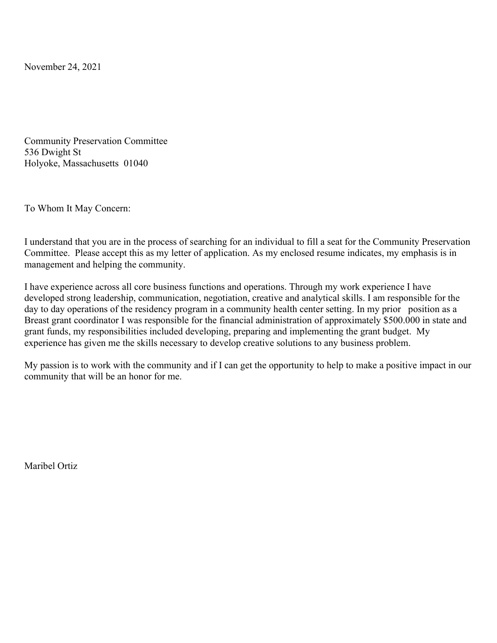November 24, 2021

Community Preservation Committee 536 Dwight St Holyoke, Massachusetts 01040

To Whom It May Concern:

I understand that you are in the process of searching for an individual to fill a seat for the Community Preservation Committee. Please accept this as my letter of application. As my enclosed resume indicates, my emphasis is in management and helping the community.

I have experience across all core business functions and operations. Through my work experience I have developed strong leadership, communication, negotiation, creative and analytical skills. I am responsible for the day to day operations of the residency program in a community health center setting. In my prior position as a Breast grant coordinator I was responsible for the financial administration of approximately \$500.000 in state and grant funds, my responsibilities included developing, preparing and implementing the grant budget. My experience has given me the skills necessary to develop creative solutions to any business problem.

My passion is to work with the community and if I can get the opportunity to help to make a positive impact in our community that will be an honor for me.

Maribel Ortiz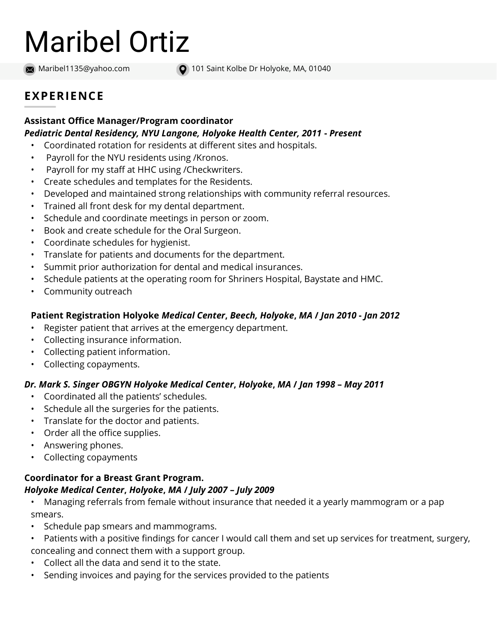# Maribel Ortiz

Maribel1135@yahoo.com

101 Saint Kolbe Dr Holyoke, MA, 01040

## EXPERIENCE

#### Assistant Office Manager/Program coordinator Pediatric Dental Residency, NYU Langone, Holyoke Health Center, 2011 - Present

- Coordinated rotation for residents at different sites and hospitals.
- Payroll for the NYU residents using /Kronos.
- Payroll for my staff at HHC using /Checkwriters.
- Create schedules and templates for the Residents.
- Developed and maintained strong relationships with community referral resources.
- Trained all front desk for my dental department.
- Schedule and coordinate meetings in person or zoom.
- Book and create schedule for the Oral Surgeon.
- Coordinate schedules for hygienist.
- Translate for patients and documents for the department.
- Summit prior authorization for dental and medical insurances.
- Schedule patients at the operating room for Shriners Hospital, Baystate and HMC.
- Community outreach

### Patient Registration Holyoke Medical Center, Beech, Holyoke, MA / Jan 2010 - Jan 2012

- Register patient that arrives at the emergency department.
- Collecting insurance information.
- Collecting patient information.
- Collecting copayments.

## Dr. Mark S. Singer OBGYN Holyoke Medical Center, Holyoke, MA / Jan 1998 – May 2011

- Coordinated all the patients' schedules.
- Schedule all the surgeries for the patients.
- Translate for the doctor and patients.
- Order all the office supplies.
- Answering phones.
- Collecting copayments

#### Coordinator for a Breast Grant Program. Holyoke Medical Center, Holyoke, MA / July 2007 – July 2009

- Managing referrals from female without insurance that needed it a yearly mammogram or a pap smears.
- Schedule pap smears and mammograms.
- Patients with a positive findings for cancer I would call them and set up services for treatment, surgery, concealing and connect them with a support group.
- Collect all the data and send it to the state.
- Sending invoices and paying for the services provided to the patients